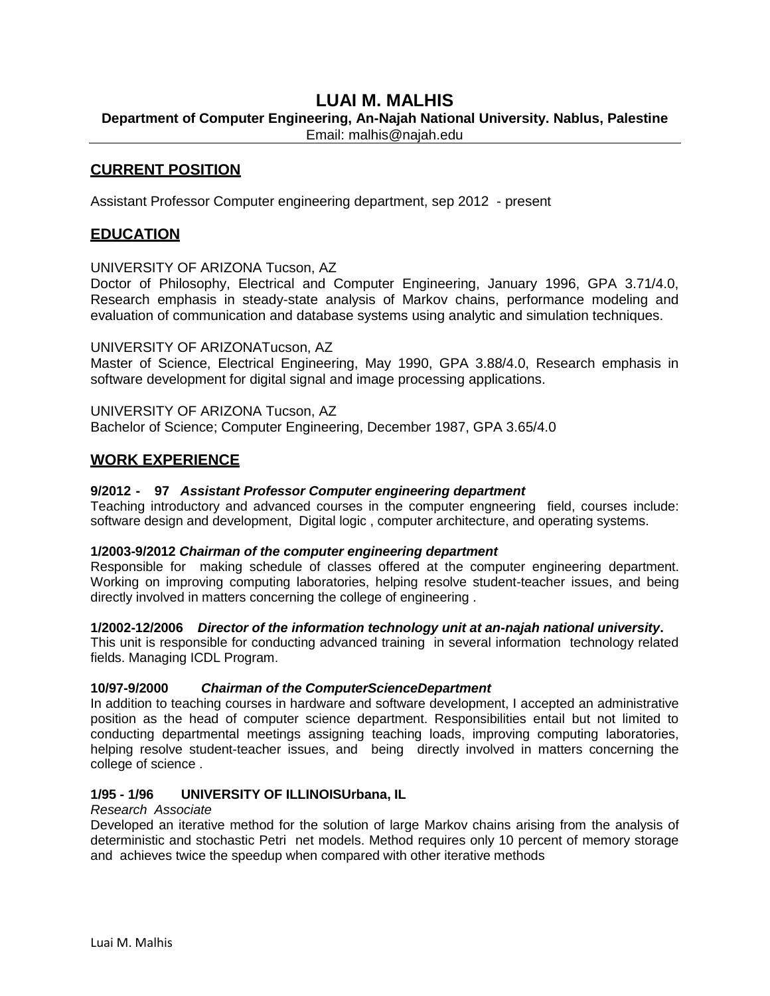# **LUAI M. MALHIS**

**Department of Computer Engineering, An-Najah National University. Nablus, Palestine**

Email: malhis@najah.edu

## **CURRENT POSITION**

Assistant Professor Computer engineering department, sep 2012 - present

## **EDUCATION**

UNIVERSITY OF ARIZONA Tucson, AZ

Doctor of Philosophy, Electrical and Computer Engineering, January 1996, GPA 3.71/4.0, Research emphasis in steady-state analysis of Markov chains, performance modeling and evaluation of communication and database systems using analytic and simulation techniques.

UNIVERSITY OF ARIZONATucson, AZ

Master of Science, Electrical Engineering, May 1990, GPA 3.88/4.0, Research emphasis in software development for digital signal and image processing applications.

UNIVERSITY OF ARIZONA Tucson, AZ Bachelor of Science; Computer Engineering, December 1987, GPA 3.65/4.0

## **WORK EXPERIENCE**

### **9/2012 - 97** *Assistant Professor Computer engineering department*

Teaching introductory and advanced courses in the computer engneering field, courses include: software design and development, Digital logic , computer architecture, and operating systems.

#### **1/2003-9/2012** *Chairman of the computer engineering department*

Responsible for making schedule of classes offered at the computer engineering department. Working on improving computing laboratories, helping resolve student-teacher issues, and being directly involved in matters concerning the college of engineering .

#### **1/2002-12/2006** *Director of the information technology unit at an-najah national university***.**

This unit is responsible for conducting advanced training in several information technology related fields. Managing ICDL Program.

#### **10/97-9/2000** *Chairman of the ComputerScienceDepartment*

In addition to teaching courses in hardware and software development, I accepted an administrative position as the head of computer science department. Responsibilities entail but not limited to conducting departmental meetings assigning teaching loads, improving computing laboratories, helping resolve student-teacher issues, and being directly involved in matters concerning the college of science .

#### **1/95 - 1/96 UNIVERSITY OF ILLINOISUrbana, IL**

#### *Research Associate*

Developed an iterative method for the solution of large Markov chains arising from the analysis of deterministic and stochastic Petri net models. Method requires only 10 percent of memory storage and achieves twice the speedup when compared with other iterative methods